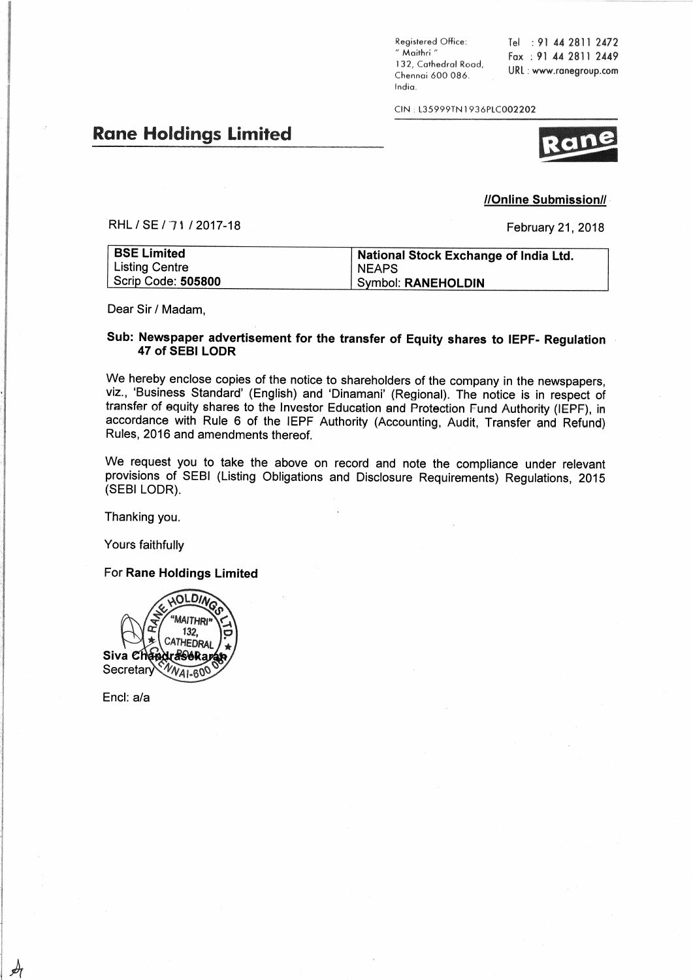Registered Office: " Maithri " 132, Cathedral Road, Chennai 600 086. India.

Tel : 91 44 2811 2472 Fax: 91 44 2811 2449 URL: www.ranegroup.com

CIN: L35999TN1936PLC002202

# **Rane Holdings Limited**

## RHL / SE / 71 / 2017-18

February 21, 2018

//Online Submission//

| <b>BSE Limited</b> | National Stock Exchange of India Ltd. |
|--------------------|---------------------------------------|
| Listing Centre     | <b>NEAPS</b>                          |
| Scrip Code: 505800 | Symbol: RANEHOLDIN                    |

Dear Sir / Madam,

## Sub: Newspaper advertisement for the transfer of Equity shares to IEPF- Regulation 47 of SEBI LODR

We hereby enclose copies of the notice to shareholders of the company in the newspapers, viz., 'Business Standard' (English) and 'Dinamani' (Regional). The notice is in respect of transfer of equity shares to the Investor Education and Protection Fund Authority (IEPF), in accordance with Rule 6 of the IEPF Authority (Accounting, Audit, Transfer and Refund) Rules, 2016 and amendments thereof.

We request you to take the above on record and note the compliance under relevant provisions of SEBI (Listing Obligations and Disclosure Requirements) Regulations, 2015 (SEBI LODR).

Thanking you.

Yours faithfully

For Rane Holdings Limited



Encl: a/a